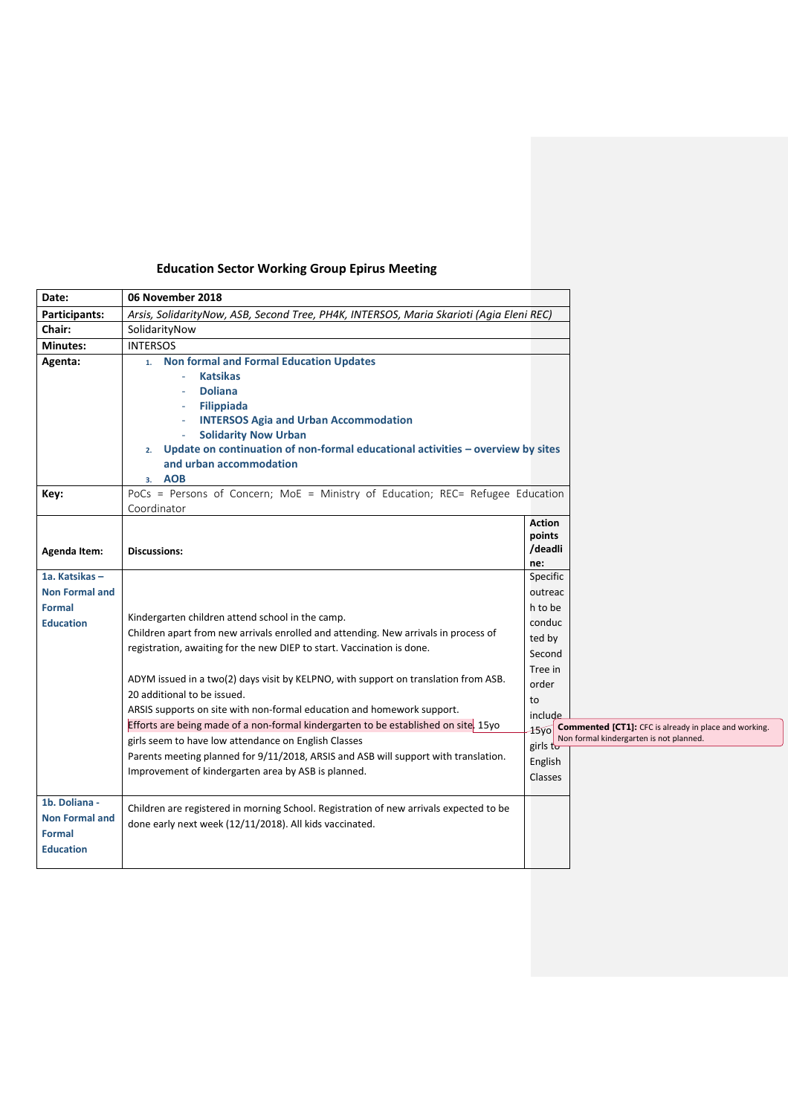| Date:                                                                        | 06 November 2018                                                                                                                                                                                                                                                                                                                                                                                                                                                                                                                                                                                                                                                                                               |                                                                                                                                                                |                                                                                                         |
|------------------------------------------------------------------------------|----------------------------------------------------------------------------------------------------------------------------------------------------------------------------------------------------------------------------------------------------------------------------------------------------------------------------------------------------------------------------------------------------------------------------------------------------------------------------------------------------------------------------------------------------------------------------------------------------------------------------------------------------------------------------------------------------------------|----------------------------------------------------------------------------------------------------------------------------------------------------------------|---------------------------------------------------------------------------------------------------------|
| Participants:                                                                | Arsis, SolidarityNow, ASB, Second Tree, PH4K, INTERSOS, Maria Skarioti (Agia Eleni REC)                                                                                                                                                                                                                                                                                                                                                                                                                                                                                                                                                                                                                        |                                                                                                                                                                |                                                                                                         |
| Chair:                                                                       | SolidarityNow                                                                                                                                                                                                                                                                                                                                                                                                                                                                                                                                                                                                                                                                                                  |                                                                                                                                                                |                                                                                                         |
| <b>Minutes:</b>                                                              | <b>INTERSOS</b>                                                                                                                                                                                                                                                                                                                                                                                                                                                                                                                                                                                                                                                                                                |                                                                                                                                                                |                                                                                                         |
| Agenta:                                                                      | 1. Non formal and Formal Education Updates<br><b>Katsikas</b><br><b>Doliana</b><br><b>Filippiada</b><br><b>INTERSOS Agia and Urban Accommodation</b><br><b>Solidarity Now Urban</b><br>Update on continuation of non-formal educational activities - overview by sites<br>2.<br>and urban accommodation<br><b>AOB</b><br>3.                                                                                                                                                                                                                                                                                                                                                                                    |                                                                                                                                                                |                                                                                                         |
| Key:                                                                         | PoCs = Persons of Concern; MoE = Ministry of Education; REC= Refugee Education<br>Coordinator                                                                                                                                                                                                                                                                                                                                                                                                                                                                                                                                                                                                                  |                                                                                                                                                                |                                                                                                         |
| Agenda Item:                                                                 | <b>Discussions:</b>                                                                                                                                                                                                                                                                                                                                                                                                                                                                                                                                                                                                                                                                                            | Action<br>points<br>/deadli<br>ne:                                                                                                                             |                                                                                                         |
| 1a. Katsikas -<br><b>Non Formal and</b><br><b>Formal</b><br><b>Education</b> | Kindergarten children attend school in the camp.<br>Children apart from new arrivals enrolled and attending. New arrivals in process of<br>registration, awaiting for the new DIEP to start. Vaccination is done.<br>ADYM issued in a two(2) days visit by KELPNO, with support on translation from ASB.<br>20 additional to be issued.<br>ARSIS supports on site with non-formal education and homework support.<br>Efforts are being made of a non-formal kindergarten to be established on site. 15yo<br>girls seem to have low attendance on English Classes<br>Parents meeting planned for 9/11/2018, ARSIS and ASB will support with translation.<br>Improvement of kindergarten area by ASB is planned. | Specific<br>outreac<br>h to be<br>conduc<br>ted by<br>Second<br>Tree in<br>order<br>to<br>include<br>15 <sub>VO</sub><br>girls to<br>English<br><b>Classes</b> | <b>Commented [CT1]:</b> CFC is already in place and working.<br>Non formal kindergarten is not planned. |
| 1b. Doliana -<br><b>Non Formal and</b><br><b>Formal</b><br><b>Education</b>  | Children are registered in morning School. Registration of new arrivals expected to be<br>done early next week (12/11/2018). All kids vaccinated.                                                                                                                                                                                                                                                                                                                                                                                                                                                                                                                                                              |                                                                                                                                                                |                                                                                                         |

## **Education Sector Working Group Epirus Meeting**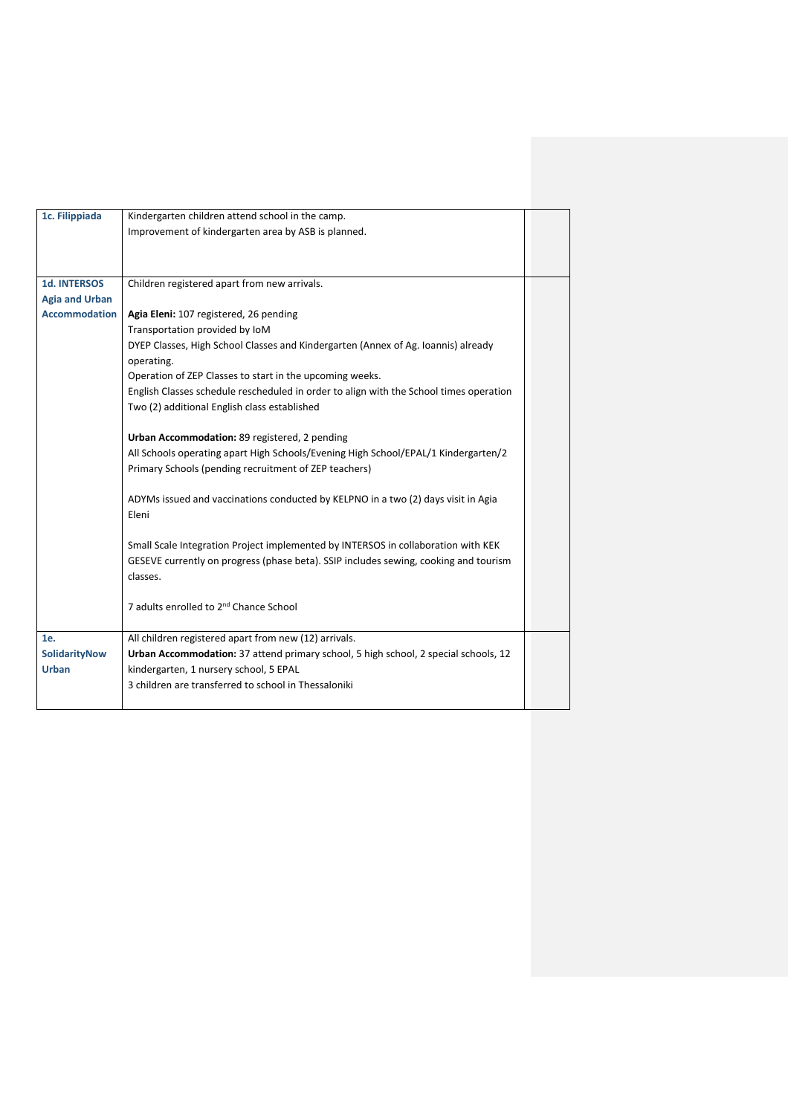| 1c. Filippiada        | Kindergarten children attend school in the camp.                                       |  |
|-----------------------|----------------------------------------------------------------------------------------|--|
|                       | Improvement of kindergarten area by ASB is planned.                                    |  |
|                       |                                                                                        |  |
|                       |                                                                                        |  |
| <b>1d. INTERSOS</b>   | Children registered apart from new arrivals.                                           |  |
| <b>Agia and Urban</b> |                                                                                        |  |
| <b>Accommodation</b>  | Agia Eleni: 107 registered, 26 pending                                                 |  |
|                       |                                                                                        |  |
|                       | Transportation provided by IoM                                                         |  |
|                       | DYEP Classes, High School Classes and Kindergarten (Annex of Ag. Ioannis) already      |  |
|                       | operating.                                                                             |  |
|                       | Operation of ZEP Classes to start in the upcoming weeks.                               |  |
|                       | English Classes schedule rescheduled in order to align with the School times operation |  |
|                       | Two (2) additional English class established                                           |  |
|                       |                                                                                        |  |
|                       | Urban Accommodation: 89 registered, 2 pending                                          |  |
|                       | All Schools operating apart High Schools/Evening High School/EPAL/1 Kindergarten/2     |  |
|                       | Primary Schools (pending recruitment of ZEP teachers)                                  |  |
|                       |                                                                                        |  |
|                       | ADYMs issued and vaccinations conducted by KELPNO in a two (2) days visit in Agia      |  |
|                       | Eleni                                                                                  |  |
|                       |                                                                                        |  |
|                       | Small Scale Integration Project implemented by INTERSOS in collaboration with KEK      |  |
|                       | GESEVE currently on progress (phase beta). SSIP includes sewing, cooking and tourism   |  |
|                       | classes.                                                                               |  |
|                       |                                                                                        |  |
|                       | 7 adults enrolled to 2 <sup>nd</sup> Chance School                                     |  |
|                       |                                                                                        |  |
| 1e.                   | All children registered apart from new (12) arrivals.                                  |  |
| <b>SolidarityNow</b>  | Urban Accommodation: 37 attend primary school, 5 high school, 2 special schools, 12    |  |
| <b>Urban</b>          | kindergarten, 1 nursery school, 5 EPAL                                                 |  |
|                       | 3 children are transferred to school in Thessaloniki                                   |  |
|                       |                                                                                        |  |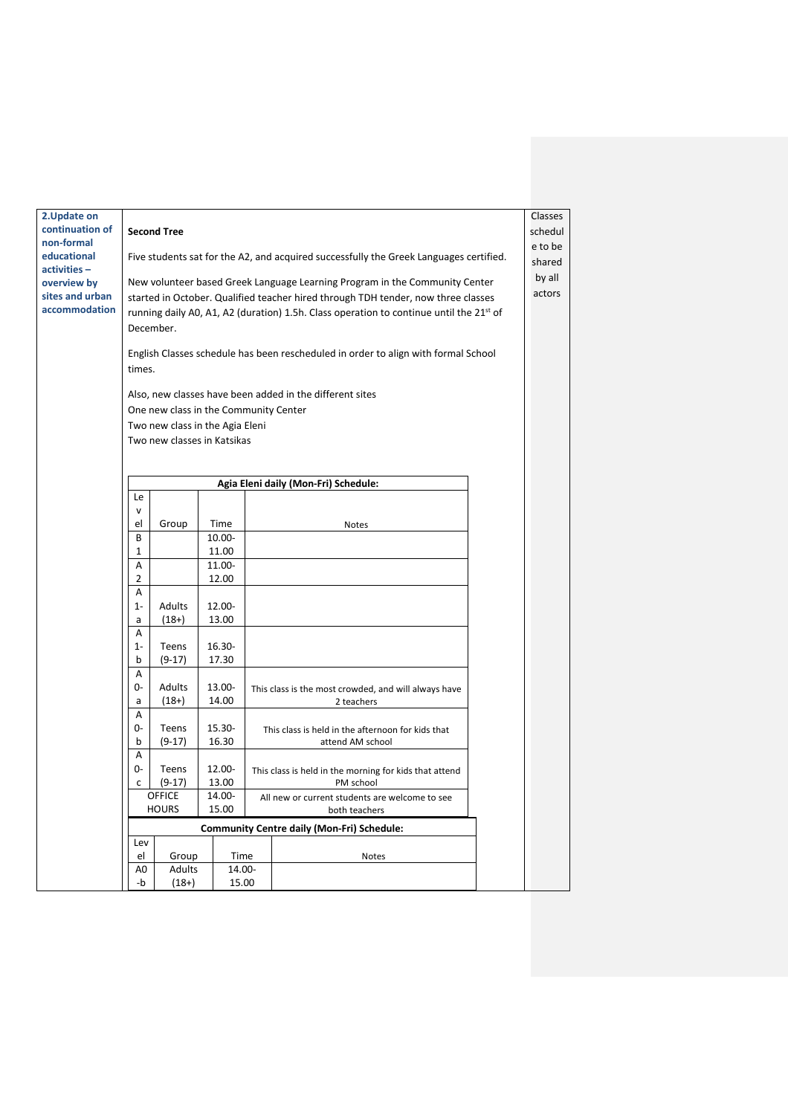| 2. Update on<br>continuation of |                                                                                                     |                                                                                             |        |                                                |                                                                       | Classes<br>schedul |  |  |  |  |  |
|---------------------------------|-----------------------------------------------------------------------------------------------------|---------------------------------------------------------------------------------------------|--------|------------------------------------------------|-----------------------------------------------------------------------|--------------------|--|--|--|--|--|
| non-formal                      | <b>Second Tree</b>                                                                                  |                                                                                             |        |                                                |                                                                       |                    |  |  |  |  |  |
| educational<br>activities-      | Five students sat for the A2, and acquired successfully the Greek Languages certified.              |                                                                                             |        |                                                |                                                                       |                    |  |  |  |  |  |
| overview by                     | by all<br>New volunteer based Greek Language Learning Program in the Community Center               |                                                                                             |        |                                                |                                                                       |                    |  |  |  |  |  |
| sites and urban                 |                                                                                                     | actors<br>started in October. Qualified teacher hired through TDH tender, now three classes |        |                                                |                                                                       |                    |  |  |  |  |  |
| accommodation                   | running daily A0, A1, A2 (duration) 1.5h. Class operation to continue until the 21 <sup>st</sup> of |                                                                                             |        |                                                |                                                                       |                    |  |  |  |  |  |
|                                 | December.                                                                                           |                                                                                             |        |                                                |                                                                       |                    |  |  |  |  |  |
|                                 |                                                                                                     |                                                                                             |        |                                                |                                                                       |                    |  |  |  |  |  |
|                                 | English Classes schedule has been rescheduled in order to align with formal School<br>times.        |                                                                                             |        |                                                |                                                                       |                    |  |  |  |  |  |
|                                 | Also, new classes have been added in the different sites                                            |                                                                                             |        |                                                |                                                                       |                    |  |  |  |  |  |
|                                 | One new class in the Community Center                                                               |                                                                                             |        |                                                |                                                                       |                    |  |  |  |  |  |
|                                 | Two new class in the Agia Eleni                                                                     |                                                                                             |        |                                                |                                                                       |                    |  |  |  |  |  |
|                                 |                                                                                                     | Two new classes in Katsikas                                                                 |        |                                                |                                                                       |                    |  |  |  |  |  |
|                                 |                                                                                                     |                                                                                             |        |                                                |                                                                       |                    |  |  |  |  |  |
|                                 | Agia Eleni daily (Mon-Fri) Schedule:                                                                |                                                                                             |        |                                                |                                                                       |                    |  |  |  |  |  |
|                                 | Le                                                                                                  |                                                                                             |        |                                                |                                                                       |                    |  |  |  |  |  |
|                                 | V                                                                                                   |                                                                                             |        |                                                |                                                                       |                    |  |  |  |  |  |
|                                 | el                                                                                                  | Group                                                                                       | Time   |                                                | <b>Notes</b>                                                          |                    |  |  |  |  |  |
|                                 | B                                                                                                   |                                                                                             | 10.00- |                                                |                                                                       |                    |  |  |  |  |  |
|                                 | $\mathbf{1}$                                                                                        |                                                                                             | 11.00  |                                                |                                                                       |                    |  |  |  |  |  |
|                                 | A                                                                                                   |                                                                                             | 11.00- |                                                |                                                                       |                    |  |  |  |  |  |
|                                 | $\overline{2}$<br>A                                                                                 |                                                                                             | 12.00  |                                                |                                                                       |                    |  |  |  |  |  |
|                                 | $1 -$                                                                                               | Adults                                                                                      | 12.00- |                                                |                                                                       |                    |  |  |  |  |  |
|                                 | a                                                                                                   | $(18+)$                                                                                     | 13.00  |                                                |                                                                       |                    |  |  |  |  |  |
|                                 | A                                                                                                   |                                                                                             |        |                                                |                                                                       |                    |  |  |  |  |  |
|                                 | $1-$                                                                                                | Teens                                                                                       | 16.30- |                                                |                                                                       |                    |  |  |  |  |  |
|                                 | b                                                                                                   | $(9-17)$                                                                                    | 17.30  |                                                |                                                                       |                    |  |  |  |  |  |
|                                 | A                                                                                                   |                                                                                             |        |                                                |                                                                       |                    |  |  |  |  |  |
|                                 | 0-                                                                                                  | Adults                                                                                      | 13.00- |                                                | This class is the most crowded, and will always have                  |                    |  |  |  |  |  |
|                                 | a<br>A                                                                                              | $(18+)$                                                                                     | 14.00  |                                                | 2 teachers                                                            |                    |  |  |  |  |  |
|                                 | 0-                                                                                                  | Teens                                                                                       | 15.30- |                                                |                                                                       |                    |  |  |  |  |  |
|                                 | b                                                                                                   | $(9-17)$                                                                                    | 16.30  |                                                | This class is held in the afternoon for kids that<br>attend AM school |                    |  |  |  |  |  |
|                                 | Α                                                                                                   |                                                                                             |        |                                                |                                                                       |                    |  |  |  |  |  |
|                                 | $0-$                                                                                                | Teens                                                                                       | 12.00- |                                                | This class is held in the morning for kids that attend                |                    |  |  |  |  |  |
|                                 | C                                                                                                   | $(9-17)$                                                                                    | 13.00  |                                                | PM school                                                             |                    |  |  |  |  |  |
|                                 |                                                                                                     | <b>OFFICE</b>                                                                               | 14.00- | All new or current students are welcome to see |                                                                       |                    |  |  |  |  |  |
|                                 |                                                                                                     | <b>HOURS</b><br>15.00<br>both teachers                                                      |        |                                                |                                                                       |                    |  |  |  |  |  |
|                                 |                                                                                                     |                                                                                             |        |                                                | <b>Community Centre daily (Mon-Fri) Schedule:</b>                     |                    |  |  |  |  |  |
|                                 | Lev                                                                                                 |                                                                                             |        |                                                |                                                                       |                    |  |  |  |  |  |
|                                 | el                                                                                                  | Group                                                                                       |        | Time                                           | Notes                                                                 |                    |  |  |  |  |  |
|                                 | Adults<br>14.00-<br>A0<br>-b<br>$(18+)$<br>15.00                                                    |                                                                                             |        |                                                |                                                                       |                    |  |  |  |  |  |
|                                 |                                                                                                     |                                                                                             |        |                                                |                                                                       |                    |  |  |  |  |  |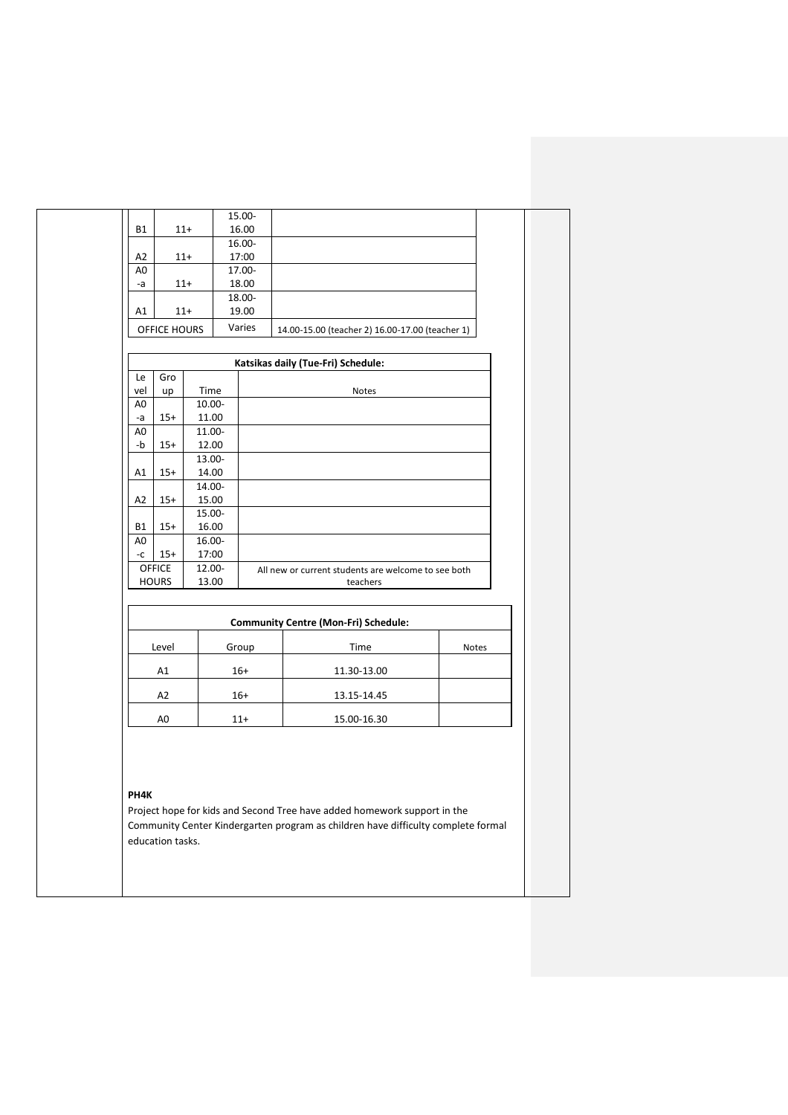|                               |                 | 15.00- |        |                                                 |                                             |                                                     |  |
|-------------------------------|-----------------|--------|--------|-------------------------------------------------|---------------------------------------------|-----------------------------------------------------|--|
| <b>B1</b>                     | $11+$           | 16.00  |        |                                                 |                                             |                                                     |  |
|                               |                 |        | 16.00- |                                                 |                                             |                                                     |  |
| A <sub>2</sub><br>$11+$       |                 | 17:00  |        |                                                 |                                             |                                                     |  |
| A <sub>0</sub>                |                 | 17.00- |        |                                                 |                                             |                                                     |  |
| -a                            | $11+$           | 18.00  |        |                                                 |                                             |                                                     |  |
|                               |                 | 18.00- |        |                                                 |                                             |                                                     |  |
| A1                            | $11+$           | 19.00  |        |                                                 |                                             |                                                     |  |
| OFFICE HOURS                  |                 | Varies |        | 14.00-15.00 (teacher 2) 16.00-17.00 (teacher 1) |                                             |                                                     |  |
|                               |                 |        |        |                                                 |                                             |                                                     |  |
|                               |                 |        |        | Katsikas daily (Tue-Fri) Schedule:              |                                             |                                                     |  |
| Gro<br>Le                     |                 |        |        |                                                 |                                             |                                                     |  |
| vel<br>up                     | Time            |        |        |                                                 | <b>Notes</b>                                |                                                     |  |
| A <sub>0</sub>                | 10.00-          |        |        |                                                 |                                             |                                                     |  |
| $15+$<br>-a<br>A <sub>0</sub> | 11.00<br>11.00- |        |        |                                                 |                                             |                                                     |  |
| -b<br>$15+$                   | 12.00           |        |        |                                                 |                                             |                                                     |  |
|                               | 13.00-          |        |        |                                                 |                                             |                                                     |  |
| $15+$<br>A1                   | 14.00           |        |        |                                                 |                                             |                                                     |  |
|                               | 14.00-          |        |        |                                                 |                                             |                                                     |  |
| A2<br>$15+$                   | 15.00           |        |        |                                                 |                                             |                                                     |  |
|                               | 15.00-          |        |        |                                                 |                                             |                                                     |  |
| <b>B1</b><br>$15+$            | 16.00           |        |        |                                                 |                                             |                                                     |  |
| A <sub>0</sub>                | 16.00-          |        |        |                                                 |                                             |                                                     |  |
| -c<br>$15+$                   |                 | 17:00  |        |                                                 |                                             |                                                     |  |
| <b>OFFICE</b>                 | 12.00-          |        |        |                                                 |                                             | All new or current students are welcome to see both |  |
| <b>HOURS</b>                  | 13.00           |        |        |                                                 | teachers                                    |                                                     |  |
|                               |                 |        |        |                                                 |                                             |                                                     |  |
|                               |                 |        |        |                                                 | <b>Community Centre (Mon-Fri) Schedule:</b> |                                                     |  |
| Level                         |                 |        | Group  |                                                 | Time                                        | Notes                                               |  |
| A1                            |                 |        | $16+$  |                                                 | 11.30-13.00                                 |                                                     |  |
| A2                            |                 |        | $16+$  |                                                 | 13.15-14.45                                 |                                                     |  |
| A <sub>0</sub>                |                 |        | $11+$  |                                                 | 15.00-16.30                                 |                                                     |  |

## **PH4K**

Project hope for kids and Second Tree have added homework support in the Community Center Kindergarten program as children have difficulty complete formal education tasks.